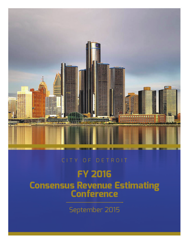

## CITY OF DETROIT

# **FY 2016 Consensus Revenue Estimating<br>Conference**

September 2015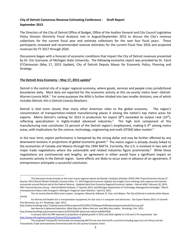#### **City of Detroit Consensus Revenue Estimating Conference ‐ Draft Report September 2015**

The Directors of the City of Detroit Office of Budget, Office of the Auditor General and City Council Legislative Policy Division (formerly Fiscal Analysis) met in August/September 2015 to discuss the City's revenue collections for the current fiscal year and estimate collections for the next four fiscal years. These participants reviewed and recommended revenue estimates for the current Fiscal Year 2016 and projected revenues for FY 2017 through 2020.

Discussions began with a forecast of economic conditions that impact the City of Detroit revenues presented by Dr. Eric Scorsone, of Michigan State University. The following economic report was provided by Dr. Carol O'Cleireacain (May 17, 2015 Update), City of Detroit Deputy Mayor for Economic Policy, Planning and Strategy.

#### **The Detroit Area Economy – May 17, 2015 update1**

Detroit is the central city of a larger regional economy, where goods, services and people cross jurisdictional boundaries daily. Most data are reported for the economic activity at this six-county metro level –Detroit-Warren-Livonia MSA.<sup>2</sup> For some purposes the MSA is further divided into two smaller divisions, one of which includes Detroit; this is Detroit‐Livonia‐Dearborn.

Detroit is tied more closely than many other American cities to the global economy. The region's concentration of transportation‐related manufacturing places it among the nation's top metro areas for exports. Metro Detroit's ranking for 2012 in production for export (8<sup>th</sup>) exceeded its output rank (16<sup>th</sup>), reflecting specialization in highly-traded advanced industries.<sup>3</sup> The high tech component of this manufacturing now constitutes 15 percent of the Detroit region's employment, making it 4<sup>th</sup> among metro areas, with implications for the science, technology, engineering and math (STEM) labor market.<sup>4</sup>

In the near term, export performance is hampered by the strong dollar and may be further affected by any downward revisions in projections of global economic growth.<sup>5</sup> The metro region is already closely linked to the economies of Canada and Mexico through the 1994 NAFTA. Currently, the U.S. is involved in two sets of major trade negotiations where the automobile and related industries figure prominently.<sup>6</sup> While these negotiations are controversial and lengthy, an agreement in either would have a significant impact on economic activity in the Detroit region. Some effects are likely to occur even in advance of an agreement, if entrepreneurs anticipate a successful conclusion.

<sup>1</sup> This discussion draws heavily on the most recent regional reports by Moody's Analytics [October 2014]; PNC Financial Services Group [1st Quarter 2015 *Detroit Market Outlook]*; Comerica [Dec. 17, 2014 Regional Economic Update] and insights from meetings with regional and industry economists around Detroit and at the Federal Reserve. Updated data from Comerica Regional Economic Update – Detroit MSA, February 20, 2015; PNC Financial Services Group - Detroit Market Outlook, 1<sup>st</sup> Quarter 2015; and Michigan Department of Technology, Management & Budget, "March Unemployment Rates Little Changed in Michigan's Regional Labor Markets," April 23, 2015.

<sup>2</sup> The six‐county Detroit MSA covers Lapeer, Livingston, Macomb, Oakland, St. Clair, and *Wayne. The City of Detroit is entirely within Wayne*  $County$ .

<sup>3</sup> For Detroit and Seattle this is transportation equipment; for San Jose it is computer and electronics. See *Export Nation 2013: Us Growth Post‐Recession*, pp. 6‐7*.* Brookings. Sept. 2013.

http://www.brookings.edu/~/media/research/files/reports/2013/09/17%20export%20nation/exportnation2013survey.pdf 4 See *America's Advanced Industries: What they are, Where they are, and Why they matter.* Brookings. Feb. 2015.

http://www.brookings.edu/research/reports2/2015/02/03‐advanced‐industries#/M10420

<sup>5</sup> In January 2015 the IMF lowered its projections of global growth in 2015 and 2016 slightly to 3.5% and 3.7% respectively. See http://www.imf.org/external/pubs/ft/weo/2015/update/01/

<sup>6</sup> The proposed Transpacific Partnership encompassing NAFTA and nine Asia‐Pacific countries (including Japan but not China) and the Transatlantic Trade and Investment Partnership with the 28 country European Union.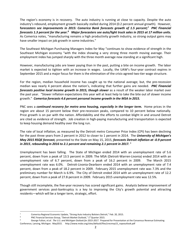The region's economy is in recovery. The auto industry is running at close to capacity. Despite the auto industry's rebound, employment growth basically stalled during 2014 (0.2 percent annual growth). However, **f***orecasters see improvements in 2015: Comerica Bank forecasts growth of 1.5 percent;7 PNC Financial* forecasts 1.3 percent for the year. $^{\rm 8}$  Major forecasters see auto/light truck sales in 2015 at 17 million units. As Comerica notes, "manufacturing remains a high productivity growth industry, so strong output gains may have smaller impact on job growth in some industries."

The Southeast Michigan Purchasing Managers Index for May "continues to show evidence of strength in the Southeast Michigan economy "with the index showing a very strong three month moving average. Their employment index has jumped sharply with the three month average now standing at a significant high.

However, manufacturing jobs are lower paying than in the past, putting a bite on income growth. The labor market is expected to tighten with an increase in wages. Locally, the UAW's four-year contract expires in September 2015 and a major focus for them is the elimination of the crisis-agreed two-tier wage structure.

For the region, median household income has caught up to the national average; but, the pre‐recession median was nearly 4 percent above the nation's, indicating that further gains are needed. *PNC Financial forecasts positive local income growth in 2015, though slower* as a result of the weaker labor market over the past year. "Slower inflation expectations this year will at least help to take the bite out of slower income growth." *Comerica forecasts 4.6 percent personal income growth in the MSA in 2015.* 

PNC sees a *continued recovery for metro area housing, especially in the longer term.* Home prices in the region are about 15 percent below their pre-recession peaks, compared to 10 percent below nationally. Price growth is on par with the nation. Affordability and the efforts to combat blight in and around Detroit are cited as evidence of strength. Job creation in high‐paying manufacturing and transportation is expected to keep housing demand healthy over the long run.

The rate of local inflation, as measured by the Detroit metro Consumer Price Index (CPI) has been declining for the past three years from 2 percent in 2012 to closer to 1 percent in 2014. The *University of Michigan's May 2015 RSQE forecast,* presented to the State on May 15, 2015, *forecasts Detroit inflation at ‐0.9 percent in 2015*, *rebounding in 2016 to 2.1 percent and remaining 2.1 percent in 2017.* <sup>9</sup>

Unemployment has been falling. The State of Michigan ended 2014 with an unemployment rate of 5.6 percent, down from a peak of 13.5 percent in 2009. The MSA (Detroit‐Warren‐Livonia) ended 2014 with an unemployment rate of 6.7 percent, down from a peak of 16.2 percent in 2009. The March 2015 unemployment rate was 6.0%. Detroit‐Livonia‐Dearborn ended 2014 with an unemployment rate of 7.4 percent, down from a peak of 18.2 percent in 2009. February 2015 unemployment rate was 7.3% and the preliminary number for March is 6.9%. The City of Detroit ended 2014 with an unemployment rate of 12.2 percent, down from a peak of 27.8 percent in 2009. February 2015 unemployment rate was 12.5%.

Though still incomplete, the five‐year recovery has scored significant gains. Analysts believe improvement of government services post‐bankruptcy is a key to improving the City's growth potential and attracting residents—which will be a longer term, strategic, effort.

<sup>7</sup> Comerica Regional Economic Update, "Strong Auto Industry Bolsters Detroit," Feb. 20, 2015.

<sup>8</sup> PNC Financial Services Group, "Detroit Market Outlook," 1<sup>st</sup> Quarter 2015.

<sup>9</sup> George Fulton*, et.al. The U.S. and Michigan Outlook for 2015‐2017.* Prepared for Presentation at the Consensus Revenue Estimating Conference, Lansing, Michigan. May2015. http://www.msbo.org/sites/default/files/crecmay15\_rsqeoutlook.pdf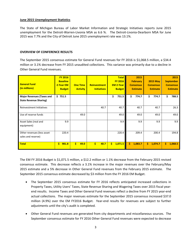#### **June 2015 Unemployment Statistics**

The State of Michigan Bureau of Labor Market Information and Strategic Initiatives reports June 2015 unemployment for the Detroit-Warren-Livonia MSA as 6.6 %. The Detroit-Livonia-Dearborn MSA for June 2015 was 7.7% and the City of Detroit June 2015 unemployment rate was 13.1%.

#### **OVERVIEW OF CONFERENCE RESULTS**

The September 2015 consensus estimate for General Fund revenues for FY 2016 is \$1,068.5 million, a \$34.4 million or 3.1% decrease from FY 2015 unaudited collections. This variance was primarily due to a decline in Other General Fund revenues.

| <b>General Fund</b><br>(in millions)                              | <b>FY 2016</b><br><b>Baseline</b><br>2-Year EM<br><b>Budget</b> | <b>One Time</b><br><b>Activity</b> | <b>Reinvestment</b><br><b>Initiatives</b> | <b>Total</b><br><b>FY 2016</b><br><b>EM 2-Year</b><br><b>Budget</b> | 2015<br><b>February</b><br><b>Consensus</b><br><b>Estimate</b> | <b>2015 May</b><br><b>Consensus</b><br><b>Estimate</b> | 2015<br><b>September</b><br><b>Consensus</b><br><b>Estimate</b> |  |
|-------------------------------------------------------------------|-----------------------------------------------------------------|------------------------------------|-------------------------------------------|---------------------------------------------------------------------|----------------------------------------------------------------|--------------------------------------------------------|-----------------------------------------------------------------|--|
| <b>Major Revenues (Taxes and</b><br><b>State Revenue Sharing)</b> | \$751.5                                                         |                                    |                                           | \$<br>751.5                                                         | \$<br>774.7                                                    | \$<br>774.7                                            | \$<br>788.5                                                     |  |
| <b>Reinvestment Initiatives</b>                                   |                                                                 |                                    | 40.7                                      | 40.7                                                                | 40.7                                                           | 40.7                                                   | 26.3                                                            |  |
| Use of reserve funds                                              |                                                                 | 49.0                               |                                           | 49.0                                                                | 49.0                                                           | 49.0                                                   | 49.0                                                            |  |
| Asset Sales (real and<br>equipment)                               | 9.9                                                             |                                    |                                           | 9.9                                                                 | 9.9                                                            | 9.9                                                    | 9.9                                                             |  |
| Other revenues (less asset<br>sales and reserve)                  | 220.4                                                           |                                    |                                           | 220.4                                                               | 209.4                                                          | 200.4                                                  | 194.8                                                           |  |
| <b>Total</b>                                                      | Ś.<br>981.8                                                     | $\mathsf{S}$<br>49.0               | Ś.<br>40.7                                | \$.<br>1,071.5                                                      | Ś<br>1,083.7                                                   | Ŝ.<br>1,074.7                                          | \$<br>1,068.5                                                   |  |

The EM FY 2016 Budget is \$1,071.5 million, a \$12.2 million or 1.1% decrease from the February 2015 revised consensus estimate. This decrease reflects a 3.1% increase in the major revenues over the February/May 2015 estimate and a 5% decrease in Other General Fund revenues from the February 2015 estimate. The September 2015 consensus estimate decreased by \$3 million from the FY 2016 EM Budget.

- The September 2015 consensus estimate for FY 2016 reflects anticipated increased collections in Property Taxes, Utility Users' Taxes, State Revenue Sharing and Wagering Taxes over 2015 fiscal year‐ end results. Income Taxes and Other General Fund revenues reflect a decline from FY 2015 year-end actual collections. The major revenues estimate for the September 2015 consensus increased \$37.0 million (4.9%) over the EM FY2016 Budget. Year-end results for revenues are subject to further adjustments until the city's audit is completed.
- Other General Fund revenues are generated from city departments and miscellaneous sources. The September consensus estimate for FY 2016 Other General Fund revenues were expected to decrease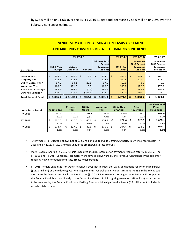by \$25.6 million or 11.6% over the EM FY 2016 Budget and decrease by \$5.6 million or 2.8% over the February consensus estimate.

### **REVENUE ESTIMATE COMPARISON & CONSENSUS AGREEMENT**

#### **SEPTEMBER 2015 CONSENSUS REVENUE ESTIMATING CONFERENCE**

|                             | <b>FY 2015</b> |               |    |                  |  |                 |    |                      |            | <b>FY 2016</b>    | <b>FY 2016</b>   |    | <b>FY 2017</b>   |
|-----------------------------|----------------|---------------|----|------------------|--|-----------------|----|----------------------|------------|-------------------|------------------|----|------------------|
|                             |                |               |    |                  |  |                 |    | <b>February 2015</b> |            |                   | September        |    | September        |
|                             |                |               |    |                  |  |                 |    | <b>Revised</b>       |            |                   | 2015 Revised     |    | 2015 Revised     |
|                             |                | EM 2- Year    |    | <b>Actuals-</b>  |  |                 |    | <b>Consensus</b>     |            | <b>EM 2- Year</b> | <b>Consensus</b> |    | <b>Consensus</b> |
| $$$ in millions             |                | <b>Budget</b> |    | <b>Unaudited</b> |  | <b>Variance</b> |    | <b>Estimate</b>      |            | <b>Budget</b>     | <b>Estimate</b>  |    | Projection       |
|                             |                |               |    |                  |  |                 |    |                      |            |                   |                  |    |                  |
| <b>Income Tax</b>           | \$             | 264.8         | \$ | $266.4$ \$       |  | 1.6             | 1S | 254.0                | $\sqrt{3}$ | $268.4$ \$        | 264.0            | \$ | 266.6            |
| <b>Property Tax</b>         |                | 102.6         |    | 113.5            |  | 10.9            |    | 114.3                |            | 100.8             | 117.0            |    | 117.0            |
| <b>Utility Users' Tax *</b> |                | 17.0          |    | 39.1             |  | 22.1            |    | 37.5                 |            | 15.9              | 40.0             |    | 40.2             |
| <b>Wagering Tax</b>         |                | 168.2         |    | 171.7            |  | 3.5             |    | 168.2                |            | 169.0             | 172.3            |    | 173.2            |
| State Rev. Sharing *        |                | 195.3         |    | 194.8            |  | (0.5)           |    | 195.3                |            | 197.4             | 195.2            |    | 197.1            |
| <b>Other Revenues *</b>     |                | 609.0         |    | 317.4            |  | (291.6)         |    | 622.0                |            | 320.0             | 280.0            |    | 235.0            |
| <b>Total General Fund</b>   | S              | 1.356.9       |    | \$1.102.9        |  | $(254.0)$ \$    |    | 1,391.3              | -S         | $1,071.5$   \$    | 1,068.5          | Ś  | 1.029.1          |

| <b>Long Term Trend</b> | <b>Income Tax</b> | <b>Property</b><br>Tax |     | <b>Utility</b><br><b>Users</b> | <b>Wagering</b><br>Tax | <b>State Rev</b><br><b>Sharing</b> |     | <b>Other</b><br><b>Revenues</b> | <b>Total General</b><br><b>Fund</b><br><b>Revenues</b> |
|------------------------|-------------------|------------------------|-----|--------------------------------|------------------------|------------------------------------|-----|---------------------------------|--------------------------------------------------------|
| FY 2018                | 269.3             | 117.0                  |     | 40.4                           | 174.0                  | 200.8                              |     | 235.0                           | 1,036.5                                                |
|                        | 1.0%              | 0.0%                   |     | 0.5%                           | 0.5%                   | 1.9%                               |     | 0.0%                            | 0.7%                                                   |
| FY 2019                | \$<br>272.0       | 117.0                  | \$. | 40.6                           | \$<br>174.9            | \$<br>202.6                        | \$. | 228.0                           | \$<br>1,035.1                                          |
|                        | 1.0%              | $0.0\%$                |     | 0.5%                           | 0.5%                   | 0.9%                               |     | $-3.0%$                         | $-0.1%$                                                |
| FY 2020                | \$<br>274.7       | \$<br>117.0            | \$  | 40.8                           | \$<br>175.8            | \$<br>204.4                        | \$  | 228.0                           | \$<br>1,040.7                                          |
|                        | 1.0%              | 0.0%                   |     | 0.5%                           | 0.5%                   | 0.9%                               |     | $0.0\%$                         | 0.5%                                                   |

- Utility Users Tax Budget is shown net of \$12.5 million due to Public Lighting Authority in EM Two Year Budget‐ FY 2015 and FY 2016. FY 2015 Actuals‐unaudited are shown at gross amount.
- State Revenue Sharing FY 2015 Actuals‐unaudited includes accruals for payments received after 6‐30‐2015. The FY 2016 and FY 2017 Consensus estimates were revised downward by the Revenue Conference Principals after receiving new information from state Treasury department.
- FY 2015 Actuals-unaudited for Other Revenues does not include the CAFR adjustment for Prior Year Surplus (\$151.3 million) or the following year‐end adjustments: Federal Grant‐ Hardest Hit funds (\$43.3 million) was paid directly to the Detroit Land Bank and Fire Escrow (\$20.0 million) revenues for Blight remediation‐ will not post to the General Fund, but pass directly to the Detroit Land Bank; Public Lighting revenues (\$29 million) not expected to be received by the General Fund; and Parking Fines and Municipal Service Fees (\$23 million) not included in actuals totals to date.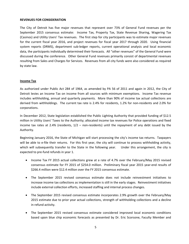#### **REVENUES FOR CONSIDERATION**

The City of Detroit has five major revenues that represent over 73% of General Fund revenues per the September 2015 consensus estimate: Income Tax, Property Tax, State Revenue Sharing, Wagering Tax (Casinos) and Utility Users' Tax revenues. The first step for city participants was to estimate major revenues for the current fiscal year 2016, and project revenues for fiscal year 2017 through 2020. Using financial system reports (DRMS), department sub-ledger reports, current operational analysis and local economic data, the participants individually determined their forecasts. All "other revenues" of the General Fund were discussed during the conference. Other General Fund revenues primarily consist of departmental revenues resulting from Sales and Charges for Services. Revenues from all city funds were also considered as required by state law.

#### **Income Tax**

As authorized under Public Act 284 of 1964, as amended by PA 56 of 2011 and again in 2012, the City of Detroit levies an Income Tax on income from all sources with minimum exemptions. Income Tax revenue includes withholding, annual and quarterly payments. More than 90% of income tax actual collections are derived from withholdings. The current tax rate is 2.4% for residents, 1.2% for non-residents and 2.0% for corporations.

In December 2012, State legislation established the Public Lighting Authority that provided funding of \$12.5 million in Utility Users' Taxes to the Authority; allocated income tax revenues for Police operations and fixed income tax rates at 2.4% (residents,  $1/2$  – non-residents) until the repayment of any debt issued by the Authority.

Beginning January 2016, the State of Michigan will start processing the city's income tax returns. Taxpayers will be able to e-file their returns. For this first year, the city will continue to process withholding activity, which will subsequently transfer to the State in the following year. Under this arrangement, the city is expected to pre‐fund refunds in year 1.

- Income Tax FY 2015 actual collections grew at a rate of 4.7% over the February/May 2015 revised consensus estimate for FY 2015 of \$254.0 million. Preliminary fiscal year 2015 year‐end results of \$266.4 million were \$12.4 million over the FY 2015 consensus estimate.
- The September 2015 revised consensus estimate does not include reinvestment initiatives to increase income tax collections as implementation is still in the early stages. Reinvestment initiatives include external collection efforts, increased staffing and internal process changes.
- The September 2015 revised consensus estimate incorporates 2.9% growth over the February/May 2015 estimate due to prior year actual collections, strength of withholding collections and a decline in refund activity.
- The September 2015 revised consensus estimate considered improved local economic conditions based upon blue chip economic forecasts as presented by Dr. Eric Scorsone, Faculty Member and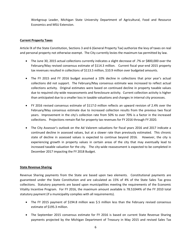Workgroup Leader, Michigan State University Department of Agricultural, Food and Resource Economics and MSU Extension.

#### **Current Property Taxes**

Article lX of the State Constitution, Sections 3 and 6 (General Property Tax) authorize the levy of taxes on real and personal property not otherwise exempt. The City currently levies the maximum tax permitted by law.

- The June 30, 2015 actual collections currently indicates a slight decrease of .7% or \$800,000 over the February/May revised consensus estimate of \$114.3 million. Current fiscal year-end 2015 property tax revenues resulted in collections of \$113.5 million, \$10.9 million over budgeted amounts.
- The FY 2015 and FY 2016 budget assumed a 10% decline in collections that prior year's actual collections did not support. The February/May consensus estimate was increased to reflect actual collections activity. Original estimates were based on continued decline in property taxable values due to required city‐wide reassessments and foreclosure activity. Current collection activity is higher than anticipated due to a smaller loss in taxable valuations and changes in internal city processes.
- FY 2016 revised consensus estimate of \$117.0 million reflects an upward revision of 2.4% over the February/May consensus estimate due to increased collection results from the previous two fiscal years. Improvement in the city's collection rate from 50% to over 70% is a factor in the increased collections. Projections remain flat for property tax revenues for FY 2016 through FY 2020.
- The City Assessor's outlook on the Ad Valorem valuations for fiscal years 2016 and 2017 indicate a continued decline in assessed values, but at a slower rate than previously estimated. This chronic state of decline in assessed values is expected to continue beyond 2016. However, the city is experiencing growth in property values in certain areas of the city that may eventually lead to increased taxable valuation for the city. The city-wide reassessment is expected to be completed in December 2017 impacting the FY 2018 Budget.

#### **State Revenue Sharing**

Revenue Sharing payments from the State are based upon two elements. Constitutional payments are guaranteed under the State Constitution and are calculated as 15% of 4% of the State Sales Tax gross collections. Statutory payments are based upon municipalities meeting the requirements of the Economic Vitality Incentive Program. For FY 2016, the maximum amount available is 78.51044% of the FY 2010 total statutory payment (if a municipality complies with all requirements).

- The FY 2015 payment of \$194.8 million was \$.5 million less than the February revised consensus estimate of \$195.3 million.
- The September 2015 consensus estimate for FY 2016 is based on current State Revenue Sharing payments projected by the Michigan Department of Treasury in May 2015 and revised Sales Tax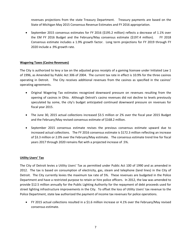revenues projections from the state Treasury Department. Treasury payments are based on the State of Michigan May 2015 Consensus Revenue Estimates and FY 2016 appropriation.

 September 2015 consensus estimates for FY 2016 (\$195.2 million) reflects a decrease of 1.1% over the EM FY 2016 Budget and the February/May consensus estimate (\$197.4 million). FY 2018 Consensus estimate includes a 1.9% growth factor. Long term projections for FY 2019 through FY 2020 include a .9% growth rate.

#### **Wagering Taxes (Casino Revenues)**

The City is authorized to levy a tax on the adjusted gross receipts of a gaming licensee under Initiated Law 1 of 1996, as Amended by Public Act 306 of 2004. The current tax rate in effect is 10.9% for the three casinos operating in Detroit. The City receives additional revenues from the casinos as specified in the casinos' operating agreements.

- Original Wagering Tax estimates recognized downward pressure on revenues resulting from the opening of casinos in Ohio. Although Detroit's casino revenues did not decline to levels previously speculated by some, the city's budget anticipated continued downward pressure on revenues for fiscal year 2015.
- The June 30, 2015 actual collections increased \$3.5 million or 2% over the fiscal year 2015 Budget and the February/May revised consensus estimate of \$168.2 million.
- September 2015 consensus estimate revises the previous consensus estimate upward due to increased actual collections. The FY 2016 consensus estimate is \$172.3 million reflecting an increase of \$3.3 million or 2.0% over the February/May estimate. The consensus estimate trend line for fiscal years 2017 through 2020 remains flat with a projected increase of .5%.

#### **Utility Users' Tax**

The City of Detroit levies a Utility Users' Tax as permitted under Public Act 100 of 1990 and as amended in 2012. The tax is based on consumption of electricity, gas, steam and telephone (land lines) in the City of Detroit. The City currently levies the maximum tax rate of 5%. These revenues are budgeted in the Police Department and have a restricted purpose to retain or hire police officers. In 2012, the law was amended to provide \$12.5 million annually for the Public Lighting Authority for the repayment of debt proceeds used for street lighting infrastructure improvements in the City. To offset the loss of Utility Users' tax revenue to the Police Department, state law authorized the payment of income tax revenues for police operations.

 FY 2015 actual collections resulted in a \$1.6 million increase or 4.1% over the February/May revised consensus estimate.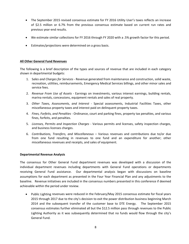- The September 2015 revised consensus estimate for FY 2016 Utility User's taxes reflects an increase of \$2.5 million or 6.7% from the previous consensus estimate based on current run rates and previous year‐end results.
- We estimate similar collections for FY 2016 through FY 2020 with a .5% growth factor for this period.
- Estimates/projections were determined on a gross basis.

#### **All Other General Fund Revenues**

The following is a brief description of the types and sources of revenue that are included in each category shown in departmental budgets:

- 1. S*ales and Charges for Services* ‐ Revenue generated from maintenance and construction, solid waste, recreation, utilities, reimbursements, Emergency Medical Services billings, and other minor sales and service fees.
- 2. *Revenue From Use of Assets* ‐ Earnings on investments, various interest earnings, building rentals, marina rentals, concessions, equipment rentals and sales of real property.
- 3. *Other Taxes, Assessments, and Interest* ‐ Special assessments, Industrial Facilities Taxes, other miscellaneous property taxes and interest paid on delinquent property taxes.
- 4. *Fines, Forfeits, and Penalties* ‐ Ordinance, court and parking fines, property tax penalties, and various fines, forfeits, and penalties.
- 5. *Licenses, Permits and Inspection Charges ‐* Various permits and licenses, safety inspection charges, and business licenses charges.
- 6. *Contributions, Transfers, and Miscellaneous* Various revenues and contributions due to/or due from one fund resulting in revenues to one fund and an expenditure for another; other miscellaneous revenues and receipts, and sales of equipment.

#### **Departmental Revenue Analysis**

The consensus for Other General Fund department revenues was developed with a discussion of the individual department revenues including departments with General Fund operations or departments receiving General Fund assistance. Our departmental analysis began with discussions on baseline assumptions for each department as presented in the Four Year Financial Plan and any adjustments to the baseline. Revenue initiatives are included in the consensus numbers presented in this conference if deemed achievable within the period under review.

 Public Lighting revenues were reduced in the February/May 2015 consensus estimate for fiscal years 2015 through 2017 due to the city's decision to exit the power distribution business beginning March 2014 and the subsequent transfer of the customer base to DTE Energy. The September 2015 consensus estimates further eliminated all but the \$12.5 million pass through revenues to the Public Lighting Authority as it was subsequently determined that no funds would flow through the city's General Fund.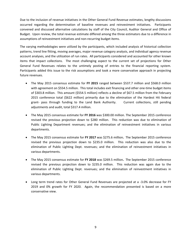Due to the inclusion of revenue initiatives in the Other General Fund Revenue estimates, lengthy discussions occurred regarding the determination of baseline revenues and reinvestment initiatives. Participants convened and discussed alternative calculations by staff of the City Council, Auditor General and Office of Budget. Upon review, the total revenue estimate differed among the three estimators due to a difference in assumptions of reinvestment initiatives and non‐recurring budget items.

The varying methodologies were utilized by the participants, which included analysis of historical collection patterns, trend line fitting, moving averages, major revenue category analysis, and individual agency revenue account analyses, and the utilization of run rates. All participants considered and accounted for other known items that impact collections. The most challenging aspect to the current set of projections for Other General Fund Revenues relates to the untimely posting of entries to the financial reporting system. Participants added this issue to the risk assumptions and took a more conservative approach in projecting future revenues.

- The May 2015 consensus estimate for **FY 2015** ranged between \$537.7 million and \$568.0 million with agreement on \$554.5 million. This total includes exit financing and other one-time budget items of \$303.8 million. This amount (\$554.5 million) reflects a decline of \$67.5 million from the February 2015 conference total (\$622 million) primarily due to the elimination of the Hardest Hit federal grant- pass through funding to the Land Bank Authority. Current collections, still pending adjustments and audit, total \$317.4 million.
- The May 2015 consensus estimate for **FY 2016** was \$300.00 million. The September 2015 conference revised the previous projection down to \$280 million. This reduction was due to elimination of Public Lighting Department revenues; and the elimination of reinvestment initiatives in various departments.
- The May 2015 consensus estimate for **FY 2017** was \$275.6 million**.** The September 2015 conference revised the previous projection down to \$235.0 million. This reduction was also due to the elimination of Public Lighting Dept. revenues; and the elimination of reinvestment initiatives in various departments.
- The May 2015 consensus estimate for **FY 2018** was \$269.5 million**.** The September 2015 conference revised the previous projection down to \$235.0 million. This reduction was again due to the elimination of Public Lighting Dept. revenues; and the elimination of reinvestment initiatives in various departments.
- Long term trend rates for Other General Fund Revenues are projected at a ‐3.0% decrease for FY 2019 and 0% growth for FY 2020. Again, the recommendation presented is based on a more conservative view.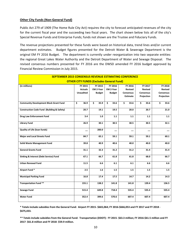#### **Other City Funds (Non‐General Fund)**

Public Act 279 of 1909 (The Home Rule City Act) requires the city to forecast anticipated revenues of the city for the current fiscal year and the succeeding two fiscal years. The chart shown below lists all of the city's Special Revenue Funds and Enterprise Funds; funds not shown are the Trustee and Fiduciary Funds.

The revenue projections presented for these funds were based on historical data, trend lines and/or current department estimates. Budget figures presented for the Detroit Water & Sewerage Department is the original EM FY 2016 Budget. The department is currently under reorganization into two separate entities: the regional Great Lakes Water Authority and the Detroit Department of Water and Sewage Disposal. The revised consensus numbers presented for FY 2016 are the DWSD amended FY 2016 budget approved by Financial Review Commission in July 2015.

| <b>SEPTEMBER 2015 CONSENSUS REVENUE ESTIMATING CONFERENCE</b> |                  |                  |               |                  |                  |                |  |  |  |  |  |  |  |
|---------------------------------------------------------------|------------------|------------------|---------------|------------------|------------------|----------------|--|--|--|--|--|--|--|
| <b>OTHER CITY FUNDS (Excludes General Fund)</b>               |                  |                  |               |                  |                  |                |  |  |  |  |  |  |  |
| (in millions)                                                 | FY 2015          | FY 2015          | FY 2016       | FY 2016          | FY 2017          | FY 2018        |  |  |  |  |  |  |  |
|                                                               | <b>Actuals</b>   | <b>EM 2-Year</b> | EM 2-Year     | Revised          | Revised          | <b>Revised</b> |  |  |  |  |  |  |  |
|                                                               | <b>Unaudited</b> | <b>Budget</b>    | <b>Budget</b> | <b>Consensus</b> | <b>Consensus</b> | Consensus      |  |  |  |  |  |  |  |
|                                                               |                  |                  |               | <b>Estimate</b>  | Projection       | Projection     |  |  |  |  |  |  |  |
| <b>Community Development Block Grant Fund</b>                 | \$<br>36.9       | \$<br>35.9       | \$<br>33.6    | \$<br>33.6       | \$<br>33.6       | \$<br>33.6     |  |  |  |  |  |  |  |
| <b>Construction Code Fund (Building &amp; Safety)</b>         | 20.7             | 19.1             | 19.5          | 20.0             | 20.7             | 21.0           |  |  |  |  |  |  |  |
| <b>Drug Law Enforcement Fund</b>                              | 3.4              | 1.0              | 1.1           | 1.1              | 1.1              | 1.1            |  |  |  |  |  |  |  |
| <b>Library Fund</b>                                           | 26.9             | 30.1             | 30.5          | 30.5             | 30.5             | 32.1           |  |  |  |  |  |  |  |
| <b>Quality of Life (loan funds)</b>                           |                  | 200.0            |               |                  |                  |                |  |  |  |  |  |  |  |
| <b>Major and Local Streets Fund</b>                           | 84.7             | 65.1             | 59.1          | 59.1             | 59.1             | 60.1           |  |  |  |  |  |  |  |
| Solid Waste Management Fund                                   | 39.8             | 40.9             | 40.6          | 40.0             | 40.0             | 40.0           |  |  |  |  |  |  |  |
| <b>General Grants Fund</b>                                    | 31.1             | 32.3             | 31.2          | 31.2             | 31.4             | 31.4           |  |  |  |  |  |  |  |
| Sinking & Interest (Debt Service) Fund                        | 67.1             | 66.7             | 61.8          | 61.8             | 68.0             | 66.7           |  |  |  |  |  |  |  |
| <b>Urban Renewal Fund</b>                                     | 11.5             | 6.6              | 6.1           | 6.1              | 6.6              | 6.6            |  |  |  |  |  |  |  |
| Airport Fund*                                                 | 2.5              | 1.6              | 1.5           | 1.5              | 1.5              | 1.5            |  |  |  |  |  |  |  |
| <b>Municipal Parking Fund</b>                                 | 16.8             | 17.4             | 17.5          | 14.7             | 14.2             | 14.3           |  |  |  |  |  |  |  |
| <b>Transportation Fund **</b>                                 | 155.1            | 138.2            | 141.8         | 141.8            | 139.4            | 136.5          |  |  |  |  |  |  |  |
| Sewage Fund                                                   | 515.4            | 649.8            | 718.4         | 535.4            | 535.4            | 535.4          |  |  |  |  |  |  |  |
| <b>Water Fund</b>                                             | 352.4            | 399.6            | 570.6         | 607.4            | 607.4            | 607.4          |  |  |  |  |  |  |  |

\* Totals include subsidies from the General Fund: Airport FY 2015-\$665,064; FY 2016-\$666,053 and FY 2017 and FY 2018 -**\$675,433.** 

\*\* Totals include subsidies from the General Fund: Transportation (DDOT): FY 2015-\$63.3 million; FY 2016-\$61.5 million and FY **2017‐ \$61.8 million and FY 2018‐ \$59.9 million.**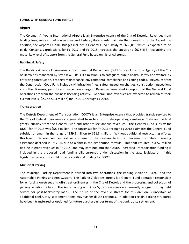#### **FUNDS WITH GENERAL FUND IMPACT**

#### **Airport**

The Coleman A. Young International Airport is an Enterprise Agency of the City of Detroit. Revenues from landing fees, rentals, fuel concessions and Federal/State grants maintain the operations of the Airport. In addition, the Airport FY 2016 Budget includes a General Fund subsidy of \$666,053 which is expected to be paid. Consensus projections for FY 2017 and FY 2018 increases the subsidy to \$675,433, recognizing the most likely level of support from the General Fund based on historical trends.

#### **Building & Safety**

The Building & Safety Engineering & Environmental Department (BSEED) is an Enterprise Agency of the City of Detroit as mandated by state law. BSEED's mission is to safeguard public health, safety and welfare by enforcing construction, property maintenance, environmental compliance and zoning codes. Revenues from the Construction Code Fund include civil infraction fines, safety inspection charges, construction inspections and other licenses, permits and inspection charges. Revenues generated in support of the General Fund operations are from the business licensing activity. General Fund revenues are expected to remain at their current levels (\$2.2 to \$2.3 million) for FY 2016 through FY 2018.

#### **Transportation**

The Detroit Department of Transportation (DDOT) is an Enterprise Agency that provides transit services to the City of Detroit. Revenues are generated from fare box, State operating assistance, State and Federal grants, subsidy from the General Fund and other miscellaneous revenues. The General Fund subsidy for DDOT for FY 2015 was \$58.3 million. The consensus for FY 2016 through FY 2018 estimates the General Fund subsidy to remain in the range of \$59.9 million to \$61.8 million. Without additional restructuring efforts, this level of General Fund support will continue for the foreseeable future. Revenue from State operating assistance declined in FY 2014 due to a shift in the distribution formula. This shift resulted in a \$7 million decline in grant revenues in FY 2014, and may continue into the future. Increased Transportation funding is included in the proposed road funding bills currently under discussion in the state legislature. If this legislation passes, this could provide additional funding for DDOT.

#### **Municipal Parking**

The Municipal Parking Department is divided into two operations‐ the Parking Violation Bureau and the Automobile Parking and Area System. The Parking Violations Bureau is a General Fund operation responsible for enforcing on‐street and off‐street ordinances in the City of Detroit and the processing and collection of parking violation notices. The Auto Parking and Area System revenues are currently assigned to pay debt service for post-bankruptcy loans. The future of the revenue stream for this division is uncertain as additional bankruptcy settlement items may further dilute revenues. In addition certain parking structures have been transferred or optioned for future purchase under terms of the bankruptcy settlement.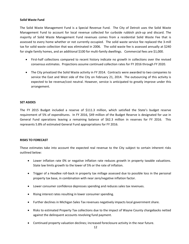#### **Solid Waste Fund**

The Solid Waste Management Fund is a Special Revenue Fund. The City of Detroit uses the Solid Waste Management Fund to account for local revenue collected for curbside rubbish pick‐up and discard. The majority of Solid Waste Management Fund revenues comes from a residential Solid Waste Fee that is assessed to every home whether or not currently occupied. The solid waste service fee replaced the 3‐mill tax for solid waste collection that was eliminated in 2006. The solid waste fee is assessed annually at \$240 for single family homes, and an additional \$100 for multi-family dwellings. Commercial fees are \$1,000.

- First-half collections compared to recent history indicate no growth in collections over the revised consensus estimates. Projections assume continued collection rates for FY 2016 through FY 2020.
- The City privatized the Solid Waste activity in FY 2014. Contracts were awarded to two companies to service the East and West side of the City on February 21, 2014. The outsourcing of this activity is expected to be revenue/cost neutral. However, service is anticipated to greatly improve under this arrangement.

#### **SET ASIDES**

The FY 2015 Budget included a reserve of \$111.3 million, which satisfied the State's budget reserve requirement of 5% of expenditures. In FY 2016, \$49 million of the Budget Reserve is designated for use in General Fund operations leaving a remaining balance of \$62.3 million in reserves for FY 2016. This represents 5.8% of estimated General Fund appropriations for FY 2016.

#### **RISKS TO FORECAST**

These estimates take into account the expected real revenue to the City subject to certain inherent risks outlined below:

- Lower inflation rate 0% or negative inflation rate reduces growth in property taxable valuations. State law limits growth to the lower of 5% or the rate of inflation.
- Trigger of a Headlee roll-back in property tax millage assessed due to possible loss in the personal property tax base, in combination with near zero/negative inflation factor.
- Lower consumer confidence depresses spending and reduces sales tax revenues.
- Rising interest rates resulting in lower consumer spending.
- Further declines in Michigan Sales Tax revenues negatively impacts local government share.
- Risks to estimated Property Tax collections due to the impact of Wayne County chargebacks netted against the delinquent accounts revolving fund payment.
- Continued property valuation declines; increased foreclosure activity in the near future.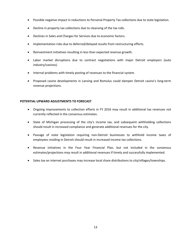- Possible negative impact in reductions to Personal Property Tax collections due to state legislation.
- Decline in property tax collections due to cleansing of the tax rolls.
- Declines in Sales and Charges for Services due to economic factors.
- Implementation risks due to deferred/delayed results from restructuring efforts.
- Reinvestment initiatives resulting in less than expected revenue growth.
- Labor market disruptions due to contract negotiations with major Detroit employers (auto industry/casinos).
- Internal problems with timely posting of revenues to the financial system.
- Proposed casino developments in Lansing and Romulus could dampen Detroit casino's long-term revenue projections.

#### **POTENTIAL UPWARD ADJUSTMENTS TO FORECAST**

- Ongoing improvements to collection efforts in FY 2016 may result in additional tax revenues not currently reflected in the consensus estimates.
- State of Michigan processing of the city's income tax, and subsequent withholding collections should result in increased compliance and generate additional revenues for the city.
- Passage of state legislation requiring non‐Detroit businesses to withhold income taxes of employees residing in Detroit should result in increased income tax collections.
- Revenue initiatives in the Four Year Financial Plan, but not included in the consensus estimates/projections may result in additional revenues if timely and successfully implemented.
- Sales tax on internet purchases may increase local share distributions to city/villages/townships.